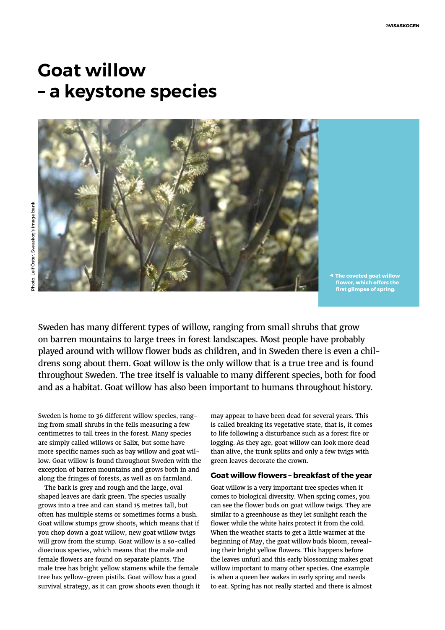# **Goat willow – a keystone species**

**◀ The coveted goat willow flower, which offers the first glimpse of spring.** 

Sweden has many different types of willow, ranging from small shrubs that grow on barren mountains to large trees in forest landscapes. Most people have probably played around with willow flower buds as children, and in Sweden there is even a childrens song about them. Goat willow is the only willow that is a true tree and is found throughout Sweden. The tree itself is valuable to many different species, both for food and as a habitat. Goat willow has also been important to humans throughout history.

Sweden is home to 36 different willow species, ranging from small shrubs in the fells measuring a few centimetres to tall trees in the forest. Many species are simply called willows or Salix, but some have more specific names such as bay willow and goat willow. Goat willow is found throughout Sweden with the exception of barren mountains and grows both in and along the fringes of forests, as well as on farmland.

The bark is grey and rough and the large, oval shaped leaves are dark green. The species usually grows into a tree and can stand 15 metres tall, but often has multiple stems or sometimes forms a bush. Goat willow stumps grow shoots, which means that if you chop down a goat willow, new goat willow twigs will grow from the stump. Goat willow is a so-called dioecious species, which means that the male and female flowers are found on separate plants. The male tree has bright yellow stamens while the female tree has yellow-green pistils. Goat willow has a good survival strategy, as it can grow shoots even though it may appear to have been dead for several years. This is called breaking its vegetative state, that is, it comes to life following a disturbance such as a forest fire or logging. As they age, goat willow can look more dead than alive, the trunk splits and only a few twigs with green leaves decorate the crown.

#### **Goat willow flowers – breakfast of the year**

Goat willow is a very important tree species when it comes to biological diversity. When spring comes, you can see the flower buds on goat willow twigs. They are similar to a greenhouse as they let sunlight reach the flower while the white hairs protect it from the cold. When the weather starts to get a little warmer at the beginning of May, the goat willow buds bloom, revealing their bright yellow flowers. This happens before the leaves unfurl and this early blossoming makes goat willow important to many other species. One example is when a queen bee wakes in early spring and needs to eat. Spring has not really started and there is almost

Photo: Leif Öster, Sveaskog's image bank Photo: Leif Öster, Sveaskog's image bank